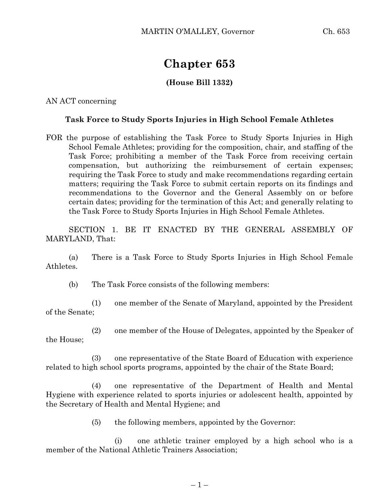## **Chapter 653**

## **(House Bill 1332)**

AN ACT concerning

## **Task Force to Study Sports Injuries in High School Female Athletes**

FOR the purpose of establishing the Task Force to Study Sports Injuries in High School Female Athletes; providing for the composition, chair, and staffing of the Task Force; prohibiting a member of the Task Force from receiving certain compensation, but authorizing the reimbursement of certain expenses; requiring the Task Force to study and make recommendations regarding certain matters; requiring the Task Force to submit certain reports on its findings and recommendations to the Governor and the General Assembly on or before certain dates; providing for the termination of this Act; and generally relating to the Task Force to Study Sports Injuries in High School Female Athletes.

SECTION 1. BE IT ENACTED BY THE GENERAL ASSEMBLY OF MARYLAND, That:

(a) There is a Task Force to Study Sports Injuries in High School Female Athletes.

(b) The Task Force consists of the following members:

(1) one member of the Senate of Maryland, appointed by the President of the Senate;

(2) one member of the House of Delegates, appointed by the Speaker of the House;

(3) one representative of the State Board of Education with experience related to high school sports programs, appointed by the chair of the State Board;

(4) one representative of the Department of Health and Mental Hygiene with experience related to sports injuries or adolescent health, appointed by the Secretary of Health and Mental Hygiene; and

(5) the following members, appointed by the Governor:

(i) one athletic trainer employed by a high school who is a member of the National Athletic Trainers Association;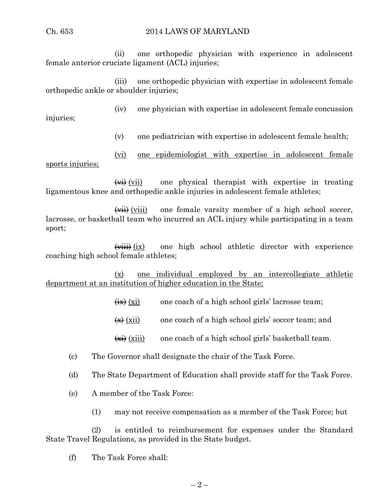(ii) one orthopedic physician with experience in adolescent female anterior cruciate ligament (ACL) injuries;

(iii) one orthopedic physician with expertise in adolescent female orthopedic ankle or shoulder injuries;

(iv) one physician with expertise in adolescent female concussion

injuries;

(v) one pediatrician with expertise in adolescent female health;

(vi) one epidemiologist with expertise in adolescent female sports injuries;

 $\overrightarrow{(w)}$  (vii) one physical therapist with expertise in treating ligamentous knee and orthopedic ankle injuries in adolescent female athletes;

 $\overrightarrow{(vii)}$  (viii) one female varsity member of a high school soccer, lacrosse, or basketball team who incurred an ACL injury while participating in a team sport;

 $\overrightarrow{(with)}$  (ix) one high school athletic director with experience coaching high school female athletes;

(x) one individual employed by an intercollegiate athletic department at an institution of higher education in the State;

- $\left(\frac{1}{11}\right)$  (xi) one coach of a high school girls' lacrosse team;
- $\left(\frac{1}{\mathbf{X}}\right)$  (xii) one coach of a high school girls' soccer team; and
- $\overrightarrow{(*)}$  (xiii) one coach of a high school girls' basketball team.
- (c) The Governor shall designate the chair of the Task Force.
- (d) The State Department of Education shall provide staff for the Task Force.
- (e) A member of the Task Force:
	- (1) may not receive compensation as a member of the Task Force; but

(2) is entitled to reimbursement for expenses under the Standard State Travel Regulations, as provided in the State budget.

(f) The Task Force shall: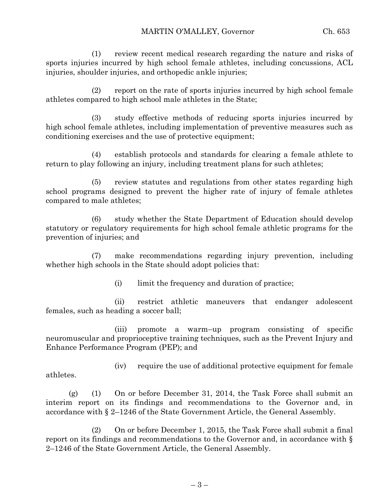(1) review recent medical research regarding the nature and risks of sports injuries incurred by high school female athletes, including concussions, ACL injuries, shoulder injuries, and orthopedic ankle injuries;

(2) report on the rate of sports injuries incurred by high school female athletes compared to high school male athletes in the State;

(3) study effective methods of reducing sports injuries incurred by high school female athletes, including implementation of preventive measures such as conditioning exercises and the use of protective equipment;

(4) establish protocols and standards for clearing a female athlete to return to play following an injury, including treatment plans for such athletes;

(5) review statutes and regulations from other states regarding high school programs designed to prevent the higher rate of injury of female athletes compared to male athletes;

(6) study whether the State Department of Education should develop statutory or regulatory requirements for high school female athletic programs for the prevention of injuries; and

(7) make recommendations regarding injury prevention, including whether high schools in the State should adopt policies that:

(i) limit the frequency and duration of practice;

(ii) restrict athletic maneuvers that endanger adolescent females, such as heading a soccer ball;

(iii) promote a warm–up program consisting of specific neuromuscular and proprioceptive training techniques, such as the Prevent Injury and Enhance Performance Program (PEP); and

(iv) require the use of additional protective equipment for female athletes.

(g) (1) On or before December 31, 2014, the Task Force shall submit an interim report on its findings and recommendations to the Governor and, in accordance with § 2–1246 of the State Government Article, the General Assembly.

(2) On or before December 1, 2015, the Task Force shall submit a final report on its findings and recommendations to the Governor and, in accordance with § 2–1246 of the State Government Article, the General Assembly.